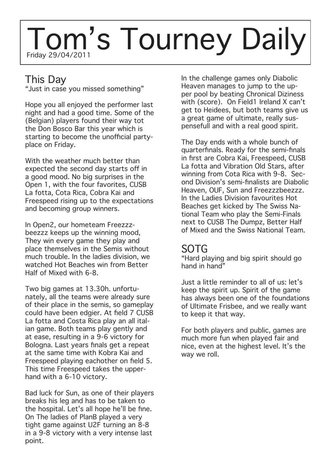# Friday 29/04/2011 Tom's Tourney Daily

### This Day

"Just in case you missed something"

Hope you all enjoyed the performer last night and had a good time. Some of the (Belgian) players found their way tot the Don Bosco Bar this year which is starting to become the unofficial partyplace on Friday.

With the weather much better than expected the second day starts off in a good mood. No big surprises in the Open 1, with the four favorites, CUSB La fotta, Cota Rica, Cobra Kai and Freespeed rising up to the expectations and becoming group winners.

In Open2, our hometeam Freezzzbeezzz keeps up the winning mood, They win every game they play and place themselves in the Semis without much trouble. In the ladies division, we watched Hot Beaches win from Better Half of Mixed with 6-8.

Two big games at 13.30h. unfortunately, all the teams were already sure of their place in the semis, so gameplay could have been edgier. At field 7 CUSB La fotta and Costa Rica play an all italian game. Both teams play gently and at ease, resulting in a 9-6 victory for Bologna. Last years finals get a repeat at the same time with Kobra Kai and Freespeed playing eachother on field 5. This time Freespeed takes the upperhand with a 6-10 victory.

Bad luck for Sun, as one of their players breaks his leg and has to be taken to the hospital. Let's all hope he'll be fine. On The ladies of PlanB played a very tight game against U2F turning an 8-8 in a 9-8 victory with a very intense last point.

In the challenge games only Diabolic Heaven manages to jump to the upper pool by beating Chronical Diziness with (score). On Field1 Ireland X can't get to Heidees, but both teams give us a great game of ultimate, really suspensefull and with a real good spirit.

The Day ends with a whole bunch of quarterfinals. Ready for the semi-finals in first are Cobra Kai, Freespeed, CUSB La fotta and Vibration Old Stars, after winning from Cota Rica with 9-8. Second Division's semi-finalists are Diabolic Heaven, OUF, Sun and Freezzzbeezzz. In the Ladies Division favourites Hot Beaches get kicked by The Swiss National Team who play the Semi-Finals next to CUSB The Dumpz, Better Half of Mixed and the Swiss National Team.

### SOTG

"Hard playing and big spirit should go hand in hand"

Just a little reminder to all of us: let's keep the spirit up. Spirit of the game has always been one of the foundations of Ultimate Frisbee, and we really want to keep it that way.

For both players and public, games are much more fun when played fair and nice, even at the highest level. It's the way we roll.